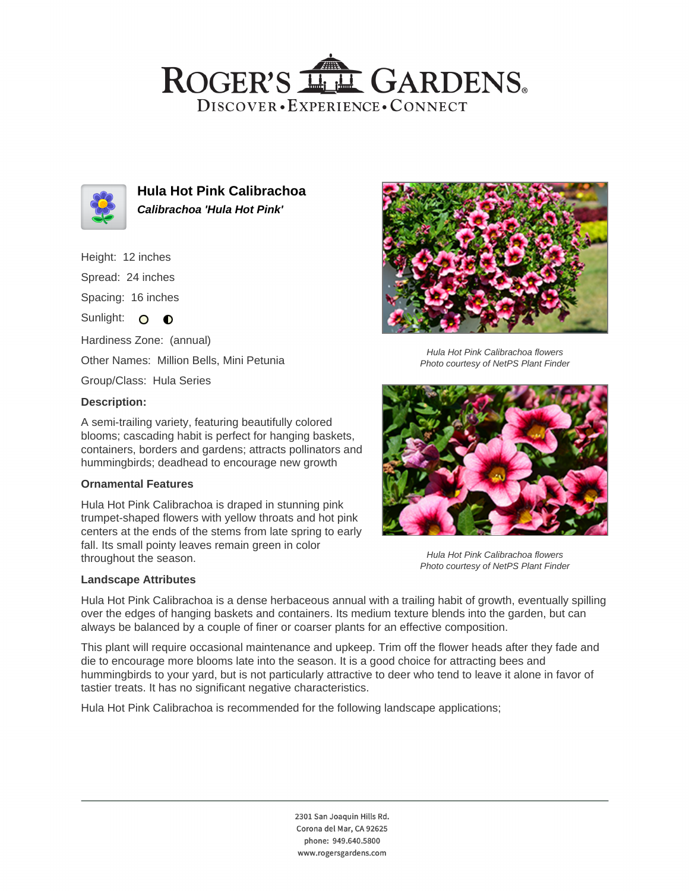## ROGER'S LL GARDENS. DISCOVER · EXPERIENCE · CONNECT



**Hula Hot Pink Calibrachoa Calibrachoa 'Hula Hot Pink'**

Height: 12 inches

Spread: 24 inches

Spacing: 16 inches

Sunlight: O **O** 

Hardiness Zone: (annual)

Other Names: Million Bells, Mini Petunia

Group/Class: Hula Series

### **Description:**

A semi-trailing variety, featuring beautifully colored blooms; cascading habit is perfect for hanging baskets, containers, borders and gardens; attracts pollinators and hummingbirds; deadhead to encourage new growth

#### **Ornamental Features**

Hula Hot Pink Calibrachoa is draped in stunning pink trumpet-shaped flowers with yellow throats and hot pink centers at the ends of the stems from late spring to early fall. Its small pointy leaves remain green in color throughout the season.

#### **Landscape Attributes**



Hula Hot Pink Calibrachoa flowers Photo courtesy of NetPS Plant Finder



Hula Hot Pink Calibrachoa flowers Photo courtesy of NetPS Plant Finder

Hula Hot Pink Calibrachoa is a dense herbaceous annual with a trailing habit of growth, eventually spilling over the edges of hanging baskets and containers. Its medium texture blends into the garden, but can always be balanced by a couple of finer or coarser plants for an effective composition.

This plant will require occasional maintenance and upkeep. Trim off the flower heads after they fade and die to encourage more blooms late into the season. It is a good choice for attracting bees and hummingbirds to your yard, but is not particularly attractive to deer who tend to leave it alone in favor of tastier treats. It has no significant negative characteristics.

Hula Hot Pink Calibrachoa is recommended for the following landscape applications;

2301 San Joaquin Hills Rd. Corona del Mar, CA 92625 phone: 949.640.5800 www.rogersgardens.com